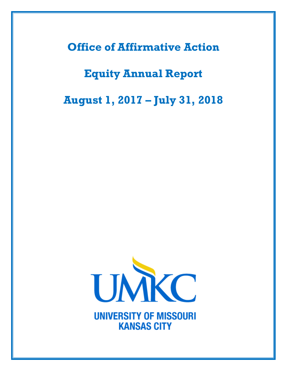**Office of Affirmative Action**

# **Equity Annual Report**

**August 1, 2017 – July 31, 2018**



**UNIVERSITY OF MISSOURI KANSAS CITY**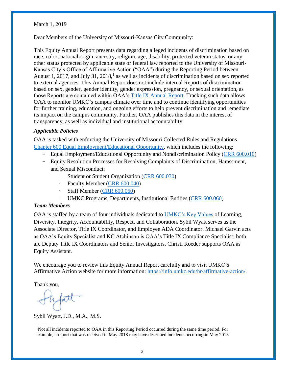March 1, 2019

Dear Members of the University of Missouri-Kansas City Community:

This Equity Annual Report presents data regarding alleged incidents of discrimination based on race, color, national origin, ancestry, religion, age, disability, protected veteran status, or any other status protected by applicable state or federal law reported to the University of Missouri-Kansas City's Office of Affirmative Action ("OAA") during the Reporting Period between August 1, 2017, and July 31, 2018,<sup>1</sup> as well as incidents of discrimination based on sex reported to external agencies. This Annual Report does not include internal Reports of discrimination based on sex, gender, gender identity, gender expression, pregnancy, or sexual orientation, as those Reports are contained within OAA's [Title IX Annual Report.](https://info.umkc.edu/title9/) Tracking such data allows OAA to monitor UMKC's campus climate over time and to continue identifying opportunities for further training, education, and ongoing efforts to help prevent discrimination and remediate its impact on the campus community. Further, OAA publishes this data in the interest of transparency, as well as individual and institutional accountability.

### *Applicable Policies*

OAA is tasked with enforcing the University of Missouri Collected Rules and Regulations [Chapter 600 Equal Employment/Educational Opportunity,](https://www.umsystem.edu/ums/rules/collected_rules/equal_employment_educational_opportunity/ch600/) which includes the following:

- Equal Employment/Educational Opportunity and Nondiscrimination Policy [\(CRR 600.010\)](https://www.umsystem.edu/ums/rules/collected_rules/equal_employment_educational_opportunity/ch600/600.010_equal_employment_educational_opportunity_policy)
- Equity Resolution Processes for Resolving Complaints of Discrimination, Harassment, and Sexual Misconduct:
	- Student or Student Organization [\(CRR 600.030\)](https://www.umsystem.edu/ums/rules/collected_rules/equal_employment_educational_opportunity/ch600/600.030_equity_resolution_process_for_resolving_complaints_of_harassment)
	- Faculty Member [\(CRR 600.040\)](https://www.umsystem.edu/ums/rules/collected_rules/equal_employment_educational_opportunity/ch600/600.040_equity_resolution_process_for_resolving_complaints_of_harassment)
	- Staff Member [\(CRR 600.050\)](https://www.umsystem.edu/ums/rules/collected_rules/equal_employment_educational_opportunity/ch600/chapter_600.050_equity_resolution_process_for_resolving_complaints)
	- UMKC Programs, Departments, Institutional Entities [\(CRR 600.060\)](https://www.umsystem.edu/ums/rules/collected_rules/equal_employment_educational_opportunity/ch600/600.060_equity_resolution_process_for_resolving_complaints)

# *Team Members*

OAA is staffed by a team of four individuals dedicated to [UMKC's Key Values](https://www.umkc.edu/chancellor/mission-vision.cfm) of Learning, Diversity, Integrity, Accountability, Respect, and Collaboration. Sybil Wyatt serves as the Associate Director, Title IX Coordinator, and Employee ADA Coordinator. Michael Garvin acts as OAA's Equity Specialist and KC Atchinson is OAA's Title IX Compliance Specialist; both are Deputy Title IX Coordinators and Senior Investigators. Christi Roeder supports OAA as Equity Assistant.

We encourage you to review this Equity Annual Report carefully and to visit UMKC's Affirmative Action website for more information: [https://info.umkc.edu/hr/affirmative-action/.](https://info.umkc.edu/hr/affirmative-action/)

Thank you,

 $\overline{a}$ 

Sybil Wyatt, J.D., M.A., M.S.

<sup>&</sup>lt;sup>1</sup>Not all incidents reported to OAA in this Reporting Period occurred during the same time period. For example, a report that was received in May 2018 may have described incidents occurring in May 2015.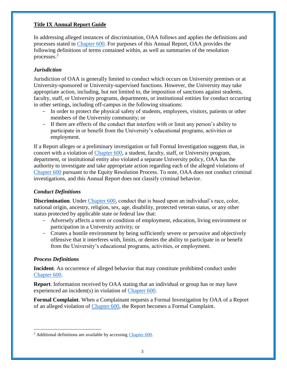## **Title IX Annual Report Guide**

In addressing alleged instances of discrimination, OAA follows and applies the definitions and processes stated in [Chapter 600.](https://www.umsystem.edu/ums/rules/collected_rules/equal_employment_educational_opportunity/ch600/) For purposes of this Annual Report, OAA provides the following definitions of terms contained within, as well as summaries of the resolution processes.<sup>2</sup>

# *Jurisdiction*

Jurisdiction of OAA is generally limited to conduct which occurs on University premises or at University-sponsored or University-supervised functions. However, the University may take appropriate action, including, but not limited to, the imposition of sanctions against students, faculty, staff, or University programs, departments, or institutional entities for conduct occurring in other settings, including off-campus in the following situations:

- In order to protect the physical safety of students, employees, visitors, patients or other members of the University community; or
- If there are effects of the conduct that interfere with or limit any person's ability to participate in or benefit from the University's educational programs, activities or employment.

If a Report alleges or a preliminary investigation or full Formal Investigation suggests that, in concert with a violation of [Chapter 600,](https://www.umsystem.edu/ums/rules/collected_rules/equal_employment_educational_opportunity/ch600/) a student, faculty, staff, or University program, department, or institutional entity also violated a separate University policy, OAA has the authority to investigate and take appropriate action regarding each of the alleged violations of [Chapter 600](https://www.umsystem.edu/ums/rules/collected_rules/equal_employment_educational_opportunity/ch600/) pursuant to the Equity Resolution Process. To note, OAA does not conduct criminal investigations, and this Annual Report does not classify criminal behavior.

# *Conduct Definitions*

**Discrimination**. Under [Chapter 600,](https://www.umsystem.edu/ums/rules/collected_rules/equal_employment_educational_opportunity/ch600/600.010_equal_employment_educational_opportunity_policy) conduct that is based upon an individual's race, color, national origin, ancestry, religion, sex, age, disability, protected veteran status, or any other status protected by applicable state or federal law that:

- Adversely affects a term or condition of employment, education, living environment or participation in a University activity; or
- Creates a hostile environment by being sufficiently severe or pervasive and objectively offensive that it interferes with, limits, or denies the ability to participate in or benefit from the University's educational programs, activities, or employment.

#### *Process Definitions*

 $\overline{a}$ 

**Incident**. An occurrence of alleged behavior that may constitute prohibited conduct under [Chapter 600.](https://www.umsystem.edu/ums/rules/collected_rules/equal_employment_educational_opportunity/ch600/)

**Report**. Information received by OAA stating that an individual or group has or may have experienced an incident(s) in violation of [Chapter 600.](https://www.umsystem.edu/ums/rules/collected_rules/equal_employment_educational_opportunity/ch600/)

**Formal Complaint**. When a Complainant requests a Formal Investigation by OAA of a Report of an alleged violation of [Chapter 600,](https://www.umsystem.edu/ums/rules/collected_rules/equal_employment_educational_opportunity/ch600/) the Report becomes a Formal Complaint.

<sup>&</sup>lt;sup>2</sup> Additional definitions are available by accessing [Chapter 600.](https://www.umsystem.edu/ums/rules/collected_rules/equal_employment_educational_opportunity/ch600/)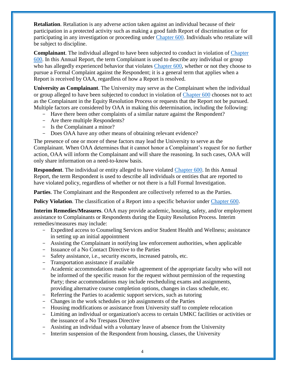**Retaliation**. Retaliation is any adverse action taken against an individual because of their participation in a protected activity such as making a good faith Report of discrimination or for participating in any investigation or proceeding under [Chapter 600.](https://www.umsystem.edu/ums/rules/collected_rules/equal_employment_educational_opportunity/ch600/) Individuals who retaliate will be subject to discipline.

**Complainant**. The individual alleged to have been subjected to conduct in violation of [Chapter](https://www.umsystem.edu/ums/rules/collected_rules/equal_employment_educational_opportunity/ch600/)  [600.](https://www.umsystem.edu/ums/rules/collected_rules/equal_employment_educational_opportunity/ch600/) In this Annual Report, the term Complainant is used to describe any individual or group who has allegedly experienced behavior that violates [Chapter 600,](https://www.umsystem.edu/ums/rules/collected_rules/equal_employment_educational_opportunity/ch600/) whether or not they choose to pursue a Formal Complaint against the Respondent; it is a general term that applies when a Report is received by OAA, regardless of how a Report is resolved.

**University as Complainant**. The University may serve as the Complainant when the individual or group alleged to have been subjected to conduct in violation of [Chapter 600](https://www.umsystem.edu/ums/rules/collected_rules/equal_employment_educational_opportunity/ch600/) chooses not to act as the Complainant in the Equity Resolution Process or requests that the Report not be pursued. Multiple factors are considered by OAA in making this determination, including the following:

- Have there been other complaints of a similar nature against the Respondent?
- Are there multiple Respondents?
- Is the Complainant a minor?
- Does OAA have any other means of obtaining relevant evidence?

The presence of one or more of these factors may lead the University to serve as the Complainant. When OAA determines that it cannot honor a Complainant's request for no further action, OAA will inform the Complainant and will share the reasoning. In such cases, OAA will only share information on a need-to-know basis.

**Respondent**. The individual or entity alleged to have violated [Chapter 600.](https://www.umsystem.edu/ums/rules/collected_rules/equal_employment_educational_opportunity/ch600/) In this Annual Report, the term Respondent is used to describe all individuals or entities that are reported to have violated policy, regardless of whether or not there is a full Formal Investigation.

**Parties**. The Complainant and the Respondent are collectively referred to as the Parties.

**Policy Violation**. The classification of a Report into a specific behavior under [Chapter 600.](https://www.umsystem.edu/ums/rules/collected_rules/equal_employment_educational_opportunity/ch600/)

**Interim Remedies/Measures**. OAA may provide academic, housing, safety, and/or employment assistance to Complainants or Respondents during the Equity Resolution Process. Interim remedies/measures may include:

- Expedited access to Counseling Services and/or Student Health and Wellness; assistance in setting up an initial appointment
- Assisting the Complainant in notifying law enforcement authorities, when applicable
- Issuance of a No Contact Directive to the Parties
- Safety assistance, i.e., security escorts, increased patrols, etc.
- Transportation assistance if available
- Academic accommodations made with agreement of the appropriate faculty who will not be informed of the specific reason for the request without permission of the requesting Party; these accommodations may include rescheduling exams and assignments, providing alternative course completion options, changes in class schedule, etc.
- Referring the Parties to academic support services, such as tutoring
- Changes in the work schedules or job assignments of the Parties
- Housing modifications or assistance from University staff to complete relocation
- Limiting an individual or organization's access to certain UMKC facilities or activities or the issuance of a No Trespass Directive
- Assisting an individual with a voluntary leave of absence from the University
- Interim suspension of the Respondent from housing, classes, the University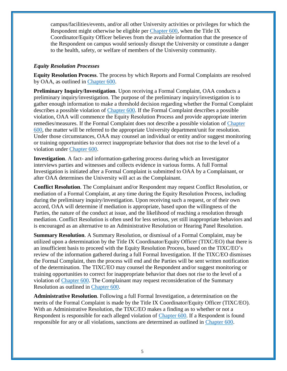campus/facilities/events, and/or all other University activities or privileges for which the Respondent might otherwise be eligible per [Chapter 600,](https://www.umsystem.edu/ums/rules/collected_rules/equal_employment_educational_opportunity/ch600/) when the Title IX Coordinator/Equity Officer believes from the available information that the presence of the Respondent on campus would seriously disrupt the University or constitute a danger to the health, safety, or welfare of members of the University community.

#### *Equity Resolution Processes*

**Equity Resolution Process**. The process by which Reports and Formal Complaints are resolved by OAA, as outlined in [Chapter 600.](https://www.umsystem.edu/ums/rules/collected_rules/equal_employment_educational_opportunity/ch600/)

**Preliminary Inquiry/Investigation**. Upon receiving a Formal Complaint, OAA conducts a preliminary inquiry/investigation. The purpose of the preliminary inquiry/investigation is to gather enough information to make a threshold decision regarding whether the Formal Complaint describes a possible violation of [Chapter 600.](https://www.umsystem.edu/ums/rules/collected_rules/equal_employment_educational_opportunity/ch600/) If the Formal Complaint describes a possible violation, OAA will commence the Equity Resolution Process and provide appropriate interim remedies/measures. If the Formal Complaint does not describe a possible violation of [Chapter](https://www.umsystem.edu/ums/rules/collected_rules/equal_employment_educational_opportunity/ch600/)  [600,](https://www.umsystem.edu/ums/rules/collected_rules/equal_employment_educational_opportunity/ch600/) the matter will be referred to the appropriate University department/unit for resolution. Under those circumstances, OAA may counsel an individual or entity and/or suggest monitoring or training opportunities to correct inappropriate behavior that does not rise to the level of a violation under [Chapter 600.](https://www.umsystem.edu/ums/rules/collected_rules/equal_employment_educational_opportunity/ch600/)

**Investigation**. A fact- and information-gathering process during which an Investigator interviews parties and witnesses and collects evidence in various forms. A full Formal Investigation is initiated after a Formal Complaint is submitted to OAA by a Complainant, or after OAA determines the University will act as the Complainant.

**Conflict Resolution**. The Complainant and/or Respondent may request Conflict Resolution, or mediation of a Formal Complaint, at any time during the Equity Resolution Process, including during the preliminary inquiry/investigation. Upon receiving such a request, or of their own accord, OAA will determine if mediation is appropriate, based upon the willingness of the Parties, the nature of the conduct at issue, and the likelihood of reaching a resolution through mediation. Conflict Resolution is often used for less serious, yet still inappropriate behaviors and is encouraged as an alternative to an Administrative Resolution or Hearing Panel Resolution.

**Summary Resolution**. A Summary Resolution, or dismissal of a Formal Complaint, may be utilized upon a determination by the Title IX Coordinator/Equity Officer (TIXC/EO) that there is an insufficient basis to proceed with the Equity Resolution Process, based on the TIXC/EO's review of the information gathered during a full Formal Investigation. If the TIXC/EO dismisses the Formal Complaint, then the process will end and the Parties will be sent written notification of the determination. The TIXC/EO may counsel the Respondent and/or suggest monitoring or training opportunities to correct for inappropriate behavior that does not rise to the level of a violation of [Chapter 600.](https://www.umsystem.edu/ums/rules/collected_rules/equal_employment_educational_opportunity/ch600/) The Complainant may request reconsideration of the Summary Resolution as outlined in [Chapter 600.](https://www.umsystem.edu/ums/rules/collected_rules/equal_employment_educational_opportunity/ch600/)

**Administrative Resolution**. Following a full Formal Investigation, a determination on the merits of the Formal Complaint is made by the Title IX Coordinator/Equity Officer (TIXC/EO). With an Administrative Resolution, the TIXC/EO makes a finding as to whether or not a Respondent is responsible for each alleged violation of [Chapter 600.](https://www.umsystem.edu/ums/rules/collected_rules/equal_employment_educational_opportunity/ch600/) If a Respondent is found responsible for any or all violations, sanctions are determined as outlined in [Chapter 600.](https://www.umsystem.edu/ums/rules/collected_rules/equal_employment_educational_opportunity/ch600/)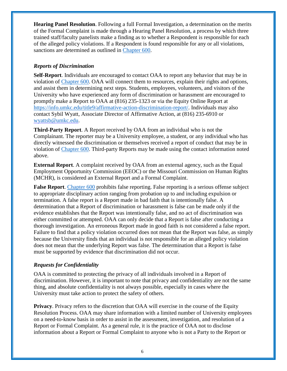**Hearing Panel Resolution**. Following a full Formal Investigation, a determination on the merits of the Formal Complaint is made through a Hearing Panel Resolution, a process by which three trained staff/faculty panelists make a finding as to whether a Respondent is responsible for each of the alleged policy violations. If a Respondent is found responsible for any or all violations, sanctions are determined as outlined in [Chapter 600.](https://www.umsystem.edu/ums/rules/collected_rules/equal_employment_educational_opportunity/ch600/)

## *Reports of Discrimination*

**Self-Report.** Individuals are encouraged to contact OAA to report any behavior that may be in violation of [Chapter](https://www.umsystem.edu/ums/rules/collected_rules/equal_employment_educational_opportunity/ch600/) 600. OAA will connect them to resources, explain their rights and options, and assist them in determining next steps. Students, employees, volunteers, and visitors of the University who have experienced any form of discrimination or harassment are encouraged to promptly make a Report to OAA at (816) 235-1323 or via the Equity Online Report at [https://info.umkc.edu/title9/affirmative-action-discrimination-report/.](https://info.umkc.edu/title9/affirmative-action-discrimination-report/) Individuals may also contact Sybil Wyatt, Associate Director of Affirmative Action, at (816) 235-6910 or [wyattsb@umkc.edu.](mailto:wyattsb@umkc.edu)

**Third-Party Report**. A Report received by OAA from an individual who is not the Complainant. The reporter may be a University employee, a student, or any individual who has directly witnessed the discrimination or themselves received a report of conduct that may be in violation of [Chapter 600.](https://www.umsystem.edu/ums/rules/collected_rules/equal_employment_educational_opportunity/ch600/600.010_equal_employment_educational_opportunity_policy) Third-party Reports may be made using the contact information noted above.

**External Report**. A complaint received by OAA from an external agency, such as the Equal Employment Opportunity Commission (EEOC) or the Missouri Commission on Human Rights (MCHR), is considered an External Report and a Formal Complaint.

**False Report**. [Chapter 600](https://www.umsystem.edu/ums/rules/collected_rules/equal_employment_educational_opportunity/ch600/) prohibits false reporting. False reporting is a serious offense subject to appropriate disciplinary action ranging from probation up to and including expulsion or termination. A false report is a Report made in bad faith that is intentionally false. A determination that a Report of discrimination or harassment is false can be made only if the evidence establishes that the Report was intentionally false, and no act of discrimination was either committed or attempted. OAA can only decide that a Report is false after conducting a thorough investigation. An erroneous Report made in good faith is not considered a false report. Failure to find that a policy violation occurred does not mean that the Report was false, as simply because the University finds that an individual is not responsible for an alleged policy violation does not mean that the underlying Report was false. The determination that a Report is false must be supported by evidence that discrimination did not occur.

# *Requests for Confidentiality*

OAA is committed to protecting the privacy of all individuals involved in a Report of discrimination. However, it is important to note that privacy and confidentiality are not the same thing, and absolute confidentiality is not always possible, especially in cases where the University must take action to protect the safety of others.

**Privacy**. Privacy refers to the discretion that OAA will exercise in the course of the Equity Resolution Process. OAA may share information with a limited number of University employees on a need-to-know basis in order to assist in the assessment, investigation, and resolution of a Report or Formal Complaint. As a general rule, it is the practice of OAA not to disclose information about a Report or Formal Complaint to anyone who is not a Party to the Report or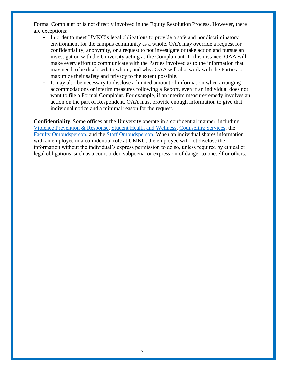Formal Complaint or is not directly involved in the Equity Resolution Process. However, there are exceptions:

- In order to meet UMKC's legal obligations to provide a safe and nondiscriminatory environment for the campus community as a whole, OAA may override a request for confidentiality, anonymity, or a request to not investigate or take action and pursue an investigation with the University acting as the Complainant. In this instance, OAA will make every effort to communicate with the Parties involved as to the information that may need to be disclosed, to whom, and why. OAA will also work with the Parties to maximize their safety and privacy to the extent possible.
- It may also be necessary to disclose a limited amount of information when arranging accommodations or interim measures following a Report, even if an individual does not want to file a Formal Complaint. For example, if an interim measure/remedy involves an action on the part of Respondent, OAA must provide enough information to give that individual notice and a minimal reason for the request.

**Confidentiality**. Some offices at the University operate in a confidential manner, including [Violence Prevention &](https://info.umkc.edu/vpr/) Response, [Student Health and Wellness,](https://info.umkc.edu/studenthealth/) [Counseling Services,](https://www.umkc.edu/counselingcenter/) the [Faculty Ombudsperson,](https://info.umkc.edu/help/ombuds/) and the [Staff Ombudsperson.](https://info.umkc.edu/help/ombuds/) When an individual shares information with an employee in a confidential role at UMKC, the employee will not disclose the information without the individual's express permission to do so, unless required by ethical or legal obligations, such as a court order, subpoena, or expression of danger to oneself or others.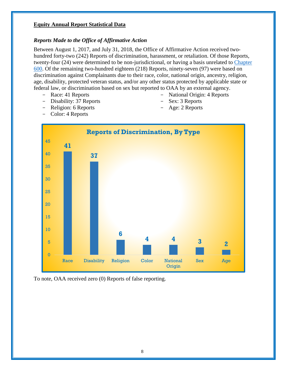# **Equity Annual Report Statistical Data**

#### *Reports Made to the Office of Affirmative Action*

Between August 1, 2017, and July 31, 2018, the Office of Affirmative Action received twohundred forty-two (242) Reports of discrimination, harassment, or retaliation. Of those Reports, twenty-four (24) were determined to be non-jurisdictional, or having a basis unrelated to [Chapter](https://www.umsystem.edu/ums/rules/collected_rules/equal_employment_educational_opportunity/ch600/)  [600.](https://www.umsystem.edu/ums/rules/collected_rules/equal_employment_educational_opportunity/ch600/) Of the remaining two-hundred eighteen (218) Reports, ninety-seven (97) were based on discrimination against Complainants due to their race, color, national origin, ancestry, religion, age, disability, protected veteran status, and/or any other status protected by applicable state or federal law, or discrimination based on sex but reported to OAA by an external agency.

- Race: 41 Reports
- Disability: 37 Reports
- Religion: 6 Reports
- Color: 4 Reports
- National Origin: 4 Reports
- Sex: 3 Reports
- Age: 2 Reports



To note, OAA received zero (0) Reports of false reporting.